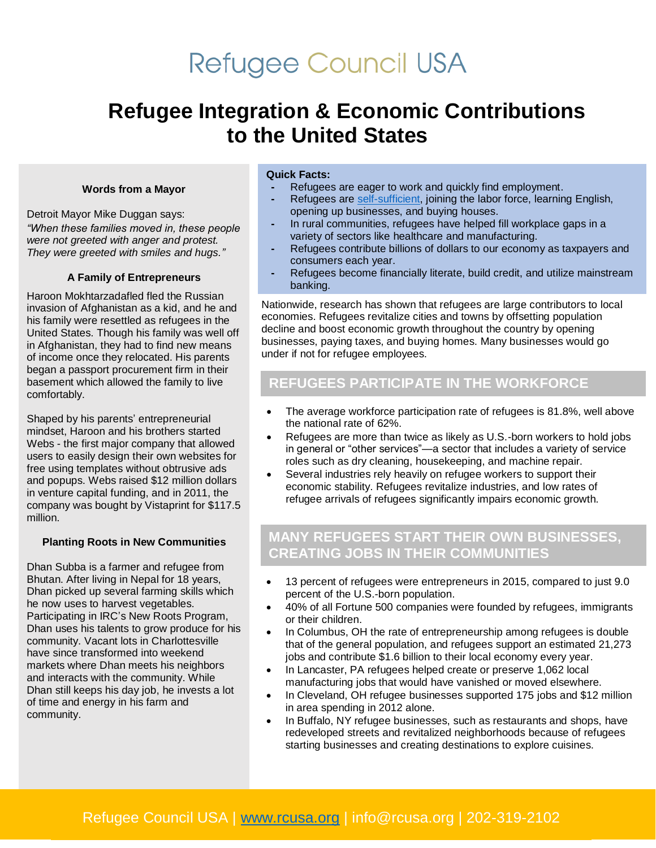# **Refugee Council USA**

# **Refugee Integration & Economic Contributions to the United States**

#### **Words from a Mayor**

Detroit Mayor Mike Duggan says: *"When these families moved in, these people were not greeted with anger and protest. They were greeted with smiles and hugs."* 

### **A Family of Entrepreneurs**

Haroon Mokhtarzadafled fled the Russian invasion of Afghanistan as a kid, and he and his family were resettled as refugees in the United States. Though his family was well off in Afghanistan, they had to find new means of income once they relocated. His parents began a passport procurement firm in their basement which allowed the family to live comfortably.

Shaped by his parents' entrepreneurial mindset, Haroon and his brothers started Webs - the first major company that allowed users to easily design their own websites for free using templates without obtrusive ads and popups. Webs raised \$12 million dollars in venture capital funding, and in 2011, the company was bought by Vistaprint for \$117.5 million.

#### **Planting Roots in New Communities**

Dhan Subba is a farmer and refugee from Bhutan. After living in Nepal for 18 years, Dhan picked up several farming skills which he now uses to harvest vegetables. Participating in IRC's New Roots Program, Dhan uses his talents to grow produce for his community. Vacant lots in Charlottesville have since transformed into weekend markets where Dhan meets his neighbors and interacts with the community. While Dhan still keeps his day job, he invests a lot of time and energy in his farm and community.

### **Quick Facts:**

- **-** Refugees are eager to work and quickly find employment.
- **-** Refugees are [self-sufficient,](https://www.americanprogress.org/issues/immigration/reports/2016/06/16/139551/refugee-integration-in-the-united-states/) joining the labor force, learning English, opening up businesses, and buying houses.
- **-** In rural communities, refugees have helped fill workplace gaps in a variety of sectors like healthcare and manufacturing.
- **-** Refugees contribute billions of dollars to our economy as taxpayers and consumers each year.
- **-** Refugees become financially literate, build credit, and utilize mainstream banking.

Nationwide, research has shown that refugees are large contributors to local economies. Refugees revitalize cities and towns by offsetting population decline and boost economic growth throughout the country by opening businesses, paying taxes, and buying homes. Many businesses would go under if not for refugee employees.

# **REFUGEES PARTICIPATE IN THE WORKFORCE**

- The average workforce participation rate of refugees is 81.8%, well above the national rate of 62%.
- Refugees are more than twice as likely as U.S.-born workers to hold jobs in general or "other services"—a sector that includes a variety of service roles such as dry cleaning, housekeeping, and machine repair.
- Several industries rely heavily on refugee workers to support their economic stability. Refugees revitalize industries, and low rates of refugee arrivals of refugees significantly impairs economic growth.

### **MANY REFUGEES START THEIR OWN BUSINESSES, CREATING JOBS IN THEIR COMMUNITIES**

- 13 percent of refugees were entrepreneurs in 2015, compared to just 9.0 percent of the U.S.-born population.
- 40% of all Fortune 500 companies were founded by refugees, immigrants or their children.
- In Columbus, OH the rate of entrepreneurship among refugees is double that of the general population, and refugees support an estimated 21,273 jobs and contribute \$1.6 billion to their local economy every year.
- In Lancaster, PA refugees helped create or preserve 1,062 local manufacturing jobs that would have vanished or moved elsewhere.
- In Cleveland, OH refugee businesses supported 175 jobs and \$12 million in area spending in 2012 alone.
- In Buffalo, NY refugee businesses, such as restaurants and shops, have redeveloped streets and revitalized neighborhoods because of refugees starting businesses and creating destinations to explore cuisines.

## Refugee Council USA | [www.rcusa.org](http://www.rcusa.org/) | info@rcusa.org | 202-319-2102